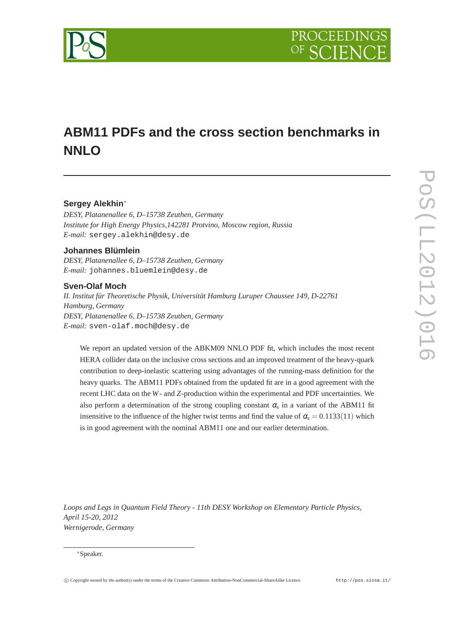

# **ABM11 PDFs and the cross section benchmarks in NNLO**

## **Sergey Alekhin**∗

*DESY, Platanenallee 6, D–15738 Zeuthen, Germany Institute for High Energy Physics,142281 Protvino, Moscow region, Russia E-mail:* sergey.alekhin@desy.de

## **Johannes Blümlein**

*DESY, Platanenallee 6, D–15738 Zeuthen, Germany E-mail:* johannes.bluemlein@desy.de

#### **Sven-Olaf Moch**

*II. Institut für Theoretische Physik, Universität Hamburg Luruper Chaussee 149, D-22761 Hamburg, Germany DESY, Platanenallee 6, D–15738 Zeuthen, Germany E-mail:* sven-olaf.moch@desy.de

We report an updated version of the ABKM09 NNLO PDF fit, which includes the most recent HERA collider data on the inclusive cross sections and an improved treatment of the heavy-quark contribution to deep-inelastic scattering using advantages of the running-mass definition for the heavy quarks. The ABM11 PDFs obtained from the updated fit are in a good agreement with the recent LHC data on the *W*- and *Z*-production within the experimental and PDF uncertainties. We also perform a determination of the strong coupling constant  $\alpha_s$  in a variant of the ABM11 fit insensitive to the influence of the higher twist terms and find the value of  $\alpha_s = 0.1133(11)$  which is in good agreement with the nominal ABM11 one and our earlier determination.

*Loops and Legs in Quantum Field Theory - 11th DESY Workshop on Elementary Particle Physics, April 15-20, 2012 Wernigerode, Germany*

#### ∗Speaker.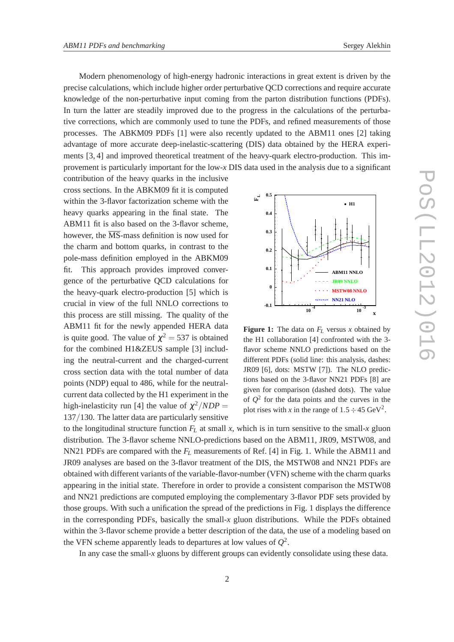Modern phenomenology of high-energy hadronic interactions in great extent is driven by the precise calculations, which include higher order perturbative QCD corrections and require accurate knowledge of the non-perturbative input coming from the parton distribution functions (PDFs). In turn the latter are steadily improved due to the progress in the calculations of the perturbative corrections, which are commonly used to tune the PDFs, and refined measurements of those processes. The ABKM09 PDFs [1] were also recently updated to the ABM11 ones [2] taking advantage of more accurate deep-inelastic-scattering (DIS) data obtained by the HERA experiments [3, 4] and improved theoretical treatment of the heavy-quark electro-production. This improvement is particularly important for the low-*x* DIS data used in the analysis due to a significant

contribution of the heavy quarks in the inclusive cross sections. In the ABKM09 fit it is computed within the 3-flavor factorization scheme with the heavy quarks appearing in the final state. The ABM11 fit is also based on the 3-flavor scheme, however, the  $\overline{\text{MS}}$ -mass definition is now used for the charm and bottom quarks, in contrast to the pole-mass definition employed in the ABKM09 fit. This approach provides improved convergence of the perturbative QCD calculations for the heavy-quark electro-production [5] which is crucial in view of the full NNLO corrections to this process are still missing. The quality of the ABM11 fit for the newly appended HERA data is quite good. The value of  $\chi^2 = 537$  is obtained for the combined H1&ZEUS sample [3] including the neutral-current and the charged-current cross section data with the total number of data points (NDP) equal to 486, while for the neutralcurrent data collected by the H1 experiment in the high-inelasticity run [4] the value of  $\chi^2/NDP =$ 137/130. The latter data are particularly sensitive



**Figure 1:** The data on  $F_L$  versus *x* obtained by the H1 collaboration [4] confronted with the 3 flavor scheme NNLO predictions based on the different PDFs (solid line: this analysis, dashes: JR09 [6], dots: MSTW [7]). The NLO predictions based on the 3-flavor NN21 PDFs [8] are given for comparison (dashed dots). The value of  $Q^2$  for the data points and the curves in the plot rises with *x* in the range of  $1.5 \div 45 \text{ GeV}^2$ .

to the longitudinal structure function  $F_L$  at small  $x$ , which is in turn sensitive to the small- $x$  gluon distribution. The 3-flavor scheme NNLO-predictions based on the ABM11, JR09, MSTW08, and NN21 PDFs are compared with the *F<sup>L</sup>* measurements of Ref. [4] in Fig. 1. While the ABM11 and JR09 analyses are based on the 3-flavor treatment of the DIS, the MSTW08 and NN21 PDFs are obtained with different variants of the variable-flavor-number (VFN) scheme with the charm quarks appearing in the initial state. Therefore in order to provide a consistent comparison the MSTW08 and NN21 predictions are computed employing the complementary 3-flavor PDF sets provided by those groups. With such a unification the spread of the predictions in Fig. 1 displays the difference in the corresponding PDFs, basically the small-*x* gluon distributions. While the PDFs obtained within the 3-flavor scheme provide a better description of the data, the use of a modeling based on the VFN scheme apparently leads to departures at low values of  $Q^2$ .

In any case the small-*x* gluons by different groups can evidently consolidate using these data.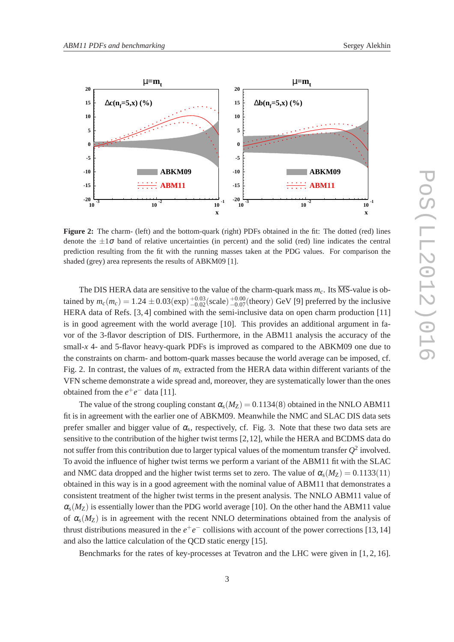

**Figure 2:** The charm- (left) and the bottom-quark (right) PDFs obtained in the fit: The dotted (red) lines denote the  $\pm 1\sigma$  band of relative uncertainties (in percent) and the solid (red) line indicates the central prediction resulting from the fit with the running masses taken at the PDG values. For comparison the shaded (grey) area represents the results of ABKM09 [1].

The DIS HERA data are sensitive to the value of the charm-quark mass  $m<sub>c</sub>$ . Its  $\overline{\text{MS}}$ -value is obtained by  $m_c(m_c) = 1.24 \pm 0.03 \text{(exp)} \frac{+0.03}{-0.02} \text{(scale)} \frac{+0.00}{-0.07} \text{(theory)}$  GeV [9] preferred by the inclusive HERA data of Refs. [3, 4] combined with the semi-inclusive data on open charm production [11] is in good agreement with the world average [10]. This provides an additional argument in favor of the 3-flavor description of DIS. Furthermore, in the ABM11 analysis the accuracy of the small-*x* 4- and 5-flavor heavy-quark PDFs is improved as compared to the ABKM09 one due to the constraints on charm- and bottom-quark masses because the world average can be imposed, cf. Fig. 2. In contrast, the values of  $m_c$  extracted from the HERA data within different variants of the VFN scheme demonstrate a wide spread and, moreover, they are systematically lower than the ones obtained from the  $e^+e^-$  data [11].

The value of the strong coupling constant  $\alpha_s(M_Z) = 0.1134(8)$  obtained in the NNLO ABM11 fit is in agreement with the earlier one of ABKM09. Meanwhile the NMC and SLAC DIS data sets prefer smaller and bigger value of  $\alpha_s$ , respectively, cf. Fig. 3. Note that these two data sets are sensitive to the contribution of the higher twist terms [2,12], while the HERA and BCDMS data do not suffer from this contribution due to larger typical values of the momentum transfer  $Q^2$  involved. To avoid the influence of higher twist terms we perform a variant of the ABM11 fit with the SLAC and NMC data dropped and the higher twist terms set to zero. The value of  $\alpha_s(M_Z) = 0.1133(11)$ obtained in this way is in a good agreement with the nominal value of ABM11 that demonstrates a consistent treatment of the higher twist terms in the present analysis. The NNLO ABM11 value of  $\alpha_{s}(M_{Z})$  is essentially lower than the PDG world average [10]. On the other hand the ABM11 value of  $\alpha_s(M_Z)$  is in agreement with the recent NNLO determinations obtained from the analysis of thrust distributions measured in the  $e^+e^-$  collisions with account of the power corrections [13, 14] and also the lattice calculation of the QCD static energy [15].

Benchmarks for the rates of key-processes at Tevatron and the LHC were given in [1, 2, 16].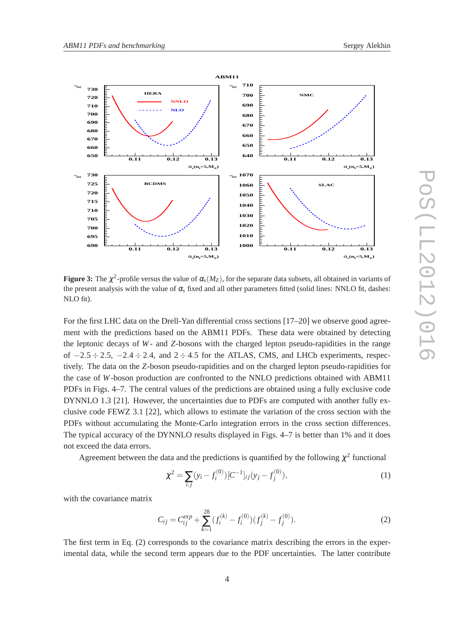



**Figure 3:** The  $\chi^2$ -profile versus the value of  $\alpha_s(M_Z)$ , for the separate data subsets, all obtained in variants of the present analysis with the value of  $\alpha_s$  fixed and all other parameters fitted (solid lines: NNLO fit, dashes: NLO fit).

For the first LHC data on the Drell-Yan differential cross sections [17–20] we observe good agreement with the predictions based on the ABM11 PDFs. These data were obtained by detecting the leptonic decays of *W*- and *Z*-bosons with the charged lepton pseudo-rapidities in the range of  $-2.5 \div 2.5$ ,  $-2.4 \div 2.4$ , and  $2 \div 4.5$  for the ATLAS, CMS, and LHCb experiments, respectively. The data on the *Z*-boson pseudo-rapidities and on the charged lepton pseudo-rapidities for the case of *W*-boson production are confronted to the NNLO predictions obtained with ABM11 PDFs in Figs. 4–7. The central values of the predictions are obtained using a fully exclusive code DYNNLO 1.3 [21]. However, the uncertainties due to PDFs are computed with another fully exclusive code FEWZ 3.1 [22], which allows to estimate the variation of the cross section with the PDFs without accumulating the Monte-Carlo integration errors in the cross section differences. The typical accuracy of the DYNNLO results displayed in Figs. 4–7 is better than 1% and it does not exceed the data errors.

Agreement between the data and the predictions is quantified by the following  $\chi^2$  functional

$$
\chi^2 = \sum_{i,j} (y_i - f_i^{(0)}) [C^{-1}]_{ij} (y_j - f_j^{(0)}), \tag{1}
$$

with the covariance matrix

$$
C_{ij} = C_{ij}^{exp} + \sum_{k=1}^{28} (f_i^{(k)} - f_i^{(0)})(f_j^{(k)} - f_j^{(0)}).
$$
 (2)

The first term in Eq. (2) corresponds to the covariance matrix describing the errors in the experimental data, while the second term appears due to the PDF uncertainties. The latter contribute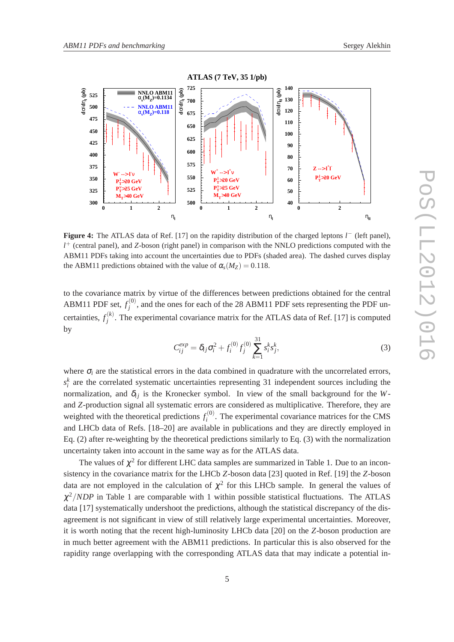

**Figure 4:** The ATLAS data of Ref. [17] on the rapidity distribution of the charged leptons *l* − (left panel), *l* <sup>+</sup> (central panel), and *Z*-boson (right panel) in comparison with the NNLO predictions computed with the ABM11 PDFs taking into account the uncertainties due to PDFs (shaded area). The dashed curves display the ABM11 predictions obtained with the value of  $\alpha_s(M_Z) = 0.118$ .

to the covariance matrix by virtue of the differences between predictions obtained for the central ABM11 PDF set,  $f_i^{(0)}$  $j^{(0)}$ , and the ones for each of the 28 ABM11 PDF sets representing the PDF uncertainties,  $f_i^{(k)}$  $j^{(k)}$ . The experimental covariance matrix for the ATLAS data of Ref. [17] is computed by

$$
C_{ij}^{exp} = \delta_{ij}\sigma_i^2 + f_i^{(0)}f_j^{(0)}\sum_{k=1}^{31} s_i^k s_j^k,
$$
\n(3)

where  $\sigma_i$  are the statistical errors in the data combined in quadrature with the uncorrelated errors,  $s_i^k$  are the correlated systematic uncertainties representing 31 independent sources including the normalization, and  $\delta_{ij}$  is the Kronecker symbol. In view of the small background for the *W*and *Z*-production signal all systematic errors are considered as multiplicative. Therefore, they are weighted with the theoretical predictions  $f_i^{(0)}$  $i^{(0)}$ . The experimental covariance matrices for the CMS and LHCb data of Refs. [18–20] are available in publications and they are directly employed in Eq. (2) after re-weighting by the theoretical predictions similarly to Eq. (3) with the normalization uncertainty taken into account in the same way as for the ATLAS data.

The values of  $\chi^2$  for different LHC data samples are summarized in Table 1. Due to an inconsistency in the covariance matrix for the LHCb *Z*-boson data [23] quoted in Ref. [19] the *Z*-boson data are not employed in the calculation of  $\chi^2$  for this LHCb sample. In general the values of  $\chi^2/NDP$  in Table 1 are comparable with 1 within possible statistical fluctuations. The ATLAS data [17] systematically undershoot the predictions, although the statistical discrepancy of the disagreement is not significant in view of still relatively large experimental uncertainties. Moreover, it is worth noting that the recent high-luminosity LHCb data [20] on the *Z*-boson production are in much better agreement with the ABM11 predictions. In particular this is also observed for the rapidity range overlapping with the corresponding ATLAS data that may indicate a potential in-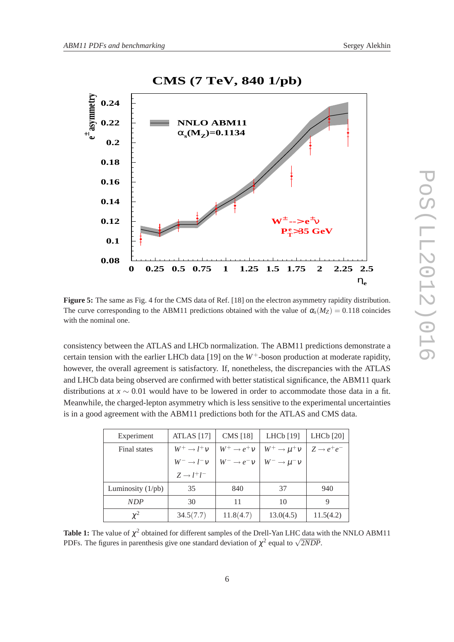

**Figure 5:** The same as Fig. 4 for the CMS data of Ref. [18] on the electron asymmetry rapidity distribution. The curve corresponding to the ABM11 predictions obtained with the value of  $\alpha_s(M_Z) = 0.118$  coincides with the nominal one.

consistency between the ATLAS and LHCb normalization. The ABM11 predictions demonstrate a certain tension with the earlier LHCb data [19] on the  $W^+$ -boson production at moderate rapidity, however, the overall agreement is satisfactory. If, nonetheless, the discrepancies with the ATLAS and LHCb data being observed are confirmed with better statistical significance, the ABM11 quark distributions at *x* ∼ 0.01 would have to be lowered in order to accommodate those data in a fit. Meanwhile, the charged-lepton asymmetry which is less sensitive to the experimental uncertainties is in a good agreement with the ABM11 predictions both for the ATLAS and CMS data.

| Experiment                 | <b>ATLAS</b> [17]         | <b>CMS</b> [18]           | LHCb [19]                   | LHC $b$ [20]           |
|----------------------------|---------------------------|---------------------------|-----------------------------|------------------------|
| Final states               | $W^+ \rightarrow l^+ \nu$ | $W^+ \rightarrow e^+ \nu$ | $W^+ \rightarrow \mu^+ \nu$ | $Z \rightarrow e^+e^-$ |
|                            | $W^- \rightarrow l^- \nu$ | $W^- \rightarrow e^- \nu$ | $W^- \rightarrow \mu^- \nu$ |                        |
|                            | $Z \rightarrow l^+l^-$    |                           |                             |                        |
| Luminosity $(1/\text{pb})$ | 35                        | 840                       | 37                          | 940                    |
| NDP                        | 30                        | 11                        | 10                          | 9                      |
| $\chi^2$                   | 34.5(7.7)                 | 11.8(4.7)                 | 13.0(4.5)                   | 11.5(4.2)              |

**Table 1:** The value of  $\chi^2$  obtained for different samples of the Drell-Yan LHC data with the NNLO ABM11 PDFs. The figures in parenthesis give one standard deviation of  $\chi^2$  equal to  $\sqrt{2NDP}$ .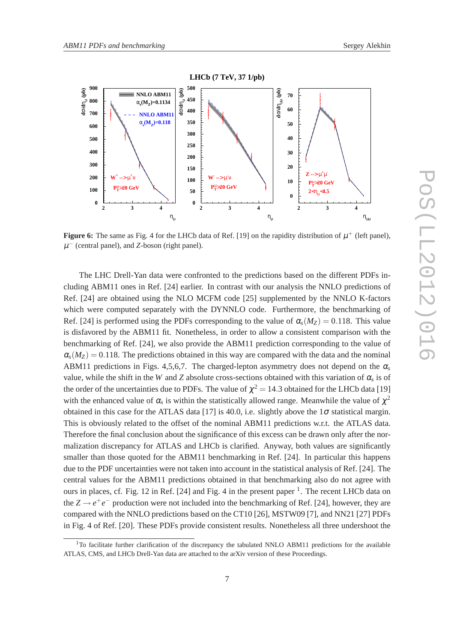

**Figure 6:** The same as Fig. 4 for the LHCb data of Ref. [19] on the rapidity distribution of  $\mu^+$  (left panel),  $\mu^-$  (central panel), and *Z*-boson (right panel).

The LHC Drell-Yan data were confronted to the predictions based on the different PDFs including ABM11 ones in Ref. [24] earlier. In contrast with our analysis the NNLO predictions of Ref. [24] are obtained using the NLO MCFM code [25] supplemented by the NNLO K-factors which were computed separately with the DYNNLO code. Furthermore, the benchmarking of Ref. [24] is performed using the PDFs corresponding to the value of  $\alpha_s(M_Z) = 0.118$ . This value is disfavored by the ABM11 fit. Nonetheless, in order to allow a consistent comparison with the benchmarking of Ref. [24], we also provide the ABM11 prediction corresponding to the value of  $\alpha_s(M_Z) = 0.118$ . The predictions obtained in this way are compared with the data and the nominal ABM11 predictions in Figs. 4,5,6,7. The charged-lepton asymmetry does not depend on the  $\alpha_s$ value, while the shift in the *W* and *Z* absolute cross-sections obtained with this variation of  $\alpha_s$  is of the order of the uncertainties due to PDFs. The value of  $\chi^2 = 14.3$  obtained for the LHCb data [19] with the enhanced value of  $\alpha_s$  is within the statistically allowed range. Meanwhile the value of  $\chi^2$ obtained in this case for the ATLAS data [17] is 40.0, i.e. slightly above the  $1\sigma$  statistical margin. This is obviously related to the offset of the nominal ABM11 predictions w.r.t. the ATLAS data. Therefore the final conclusion about the significance of this excess can be drawn only after the normalization discrepancy for ATLAS and LHCb is clarified. Anyway, both values are significantly smaller than those quoted for the ABM11 benchmarking in Ref. [24]. In particular this happens due to the PDF uncertainties were not taken into account in the statistical analysis of Ref. [24]. The central values for the ABM11 predictions obtained in that benchmarking also do not agree with ours in places, cf. Fig. 12 in Ref. [24] and Fig. 4 in the present paper <sup>1</sup>. The recent LHCb data on the  $Z \rightarrow e^+e^-$  production were not included into the benchmarking of Ref. [24], however, they are compared with the NNLO predictions based on the CT10 [26], MSTW09 [7], and NN21 [27] PDFs in Fig. 4 of Ref. [20]. These PDFs provide consistent results. Nonetheless all three undershoot the

<sup>&</sup>lt;sup>1</sup>To facilitate further clarification of the discrepancy the tabulated NNLO ABM11 predictions for the available ATLAS, CMS, and LHCb Drell-Yan data are attached to the arXiv version of these Proceedings.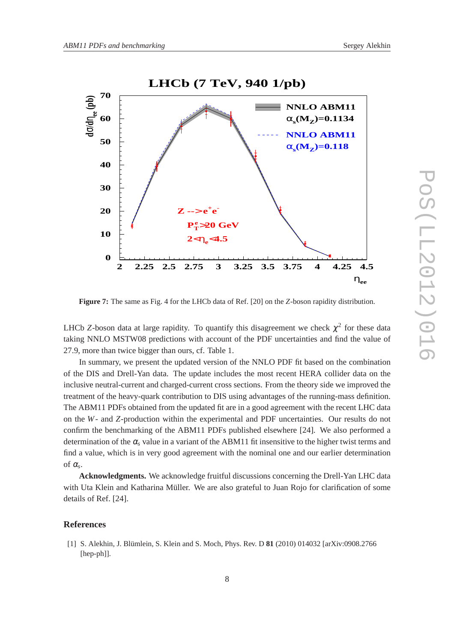

**Figure 7:** The same as Fig. 4 for the LHCb data of Ref. [20] on the *Z*-boson rapidity distribution.

LHCb *Z*-boson data at large rapidity. To quantify this disagreement we check  $\chi^2$  for these data taking NNLO MSTW08 predictions with account of the PDF uncertainties and find the value of 27.9, more than twice bigger than ours, cf. Table 1.

In summary, we present the updated version of the NNLO PDF fit based on the combination of the DIS and Drell-Yan data. The update includes the most recent HERA collider data on the inclusive neutral-current and charged-current cross sections. From the theory side we improved the treatment of the heavy-quark contribution to DIS using advantages of the running-mass definition. The ABM11 PDFs obtained from the updated fit are in a good agreement with the recent LHC data on the *W*- and *Z*-production within the experimental and PDF uncertainties. Our results do not confirm the benchmarking of the ABM11 PDFs published elsewhere [24]. We also performed a determination of the  $\alpha_s$  value in a variant of the ABM11 fit insensitive to the higher twist terms and find a value, which is in very good agreement with the nominal one and our earlier determination of  $\alpha_s$ .

**Acknowledgments.** We acknowledge fruitful discussions concerning the Drell-Yan LHC data with Uta Klein and Katharina Müller. We are also grateful to Juan Rojo for clarification of some details of Ref. [24].

### **References**

[1] S. Alekhin, J. Blümlein, S. Klein and S. Moch, Phys. Rev. D **81** (2010) 014032 [arXiv:0908.2766 [hep-ph]].